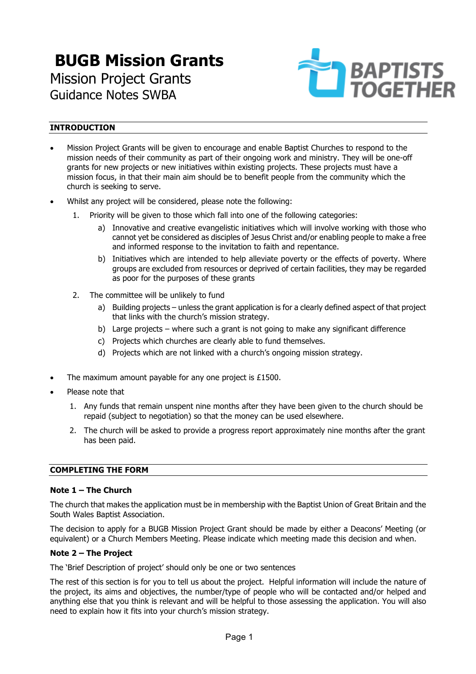# **BUGB Mission Grants** Mission Project Grants Guidance Notes SWBA



# **INTRODUCTION**

- Mission Project Grants will be given to encourage and enable Baptist Churches to respond to the mission needs of their community as part of their ongoing work and ministry. They will be one-off grants for new projects or new initiatives within existing projects. These projects must have a mission focus, in that their main aim should be to benefit people from the community which the church is seeking to serve.
- Whilst any project will be considered, please note the following:
	- 1. Priority will be given to those which fall into one of the following categories:
		- a) Innovative and creative evangelistic initiatives which will involve working with those who cannot yet be considered as disciples of Jesus Christ and/or enabling people to make a free and informed response to the invitation to faith and repentance.
		- b) Initiatives which are intended to help alleviate poverty or the effects of poverty. Where groups are excluded from resources or deprived of certain facilities, they may be regarded as poor for the purposes of these grants
	- 2. The committee will be unlikely to fund
		- a) Building projects unless the grant application is for a clearly defined aspect of that project that links with the church's mission strategy.
		- b) Large projects where such a grant is not going to make any significant difference
		- c) Projects which churches are clearly able to fund themselves.
		- d) Projects which are not linked with a church's ongoing mission strategy.
- The maximum amount payable for any one project is £1500.
- Please note that
	- 1. Any funds that remain unspent nine months after they have been given to the church should be repaid (subject to negotiation) so that the money can be used elsewhere.
	- 2. The church will be asked to provide a progress report approximately nine months after the grant has been paid.

## **COMPLETING THE FORM**

#### **Note 1 – The Church**

The church that makes the application must be in membership with the Baptist Union of Great Britain and the South Wales Baptist Association.

The decision to apply for a BUGB Mission Project Grant should be made by either a Deacons' Meeting (or equivalent) or a Church Members Meeting. Please indicate which meeting made this decision and when.

#### **Note 2 – The Project**

The 'Brief Description of project' should only be one or two sentences

The rest of this section is for you to tell us about the project. Helpful information will include the nature of the project, its aims and objectives, the number/type of people who will be contacted and/or helped and anything else that you think is relevant and will be helpful to those assessing the application. You will also need to explain how it fits into your church's mission strategy.